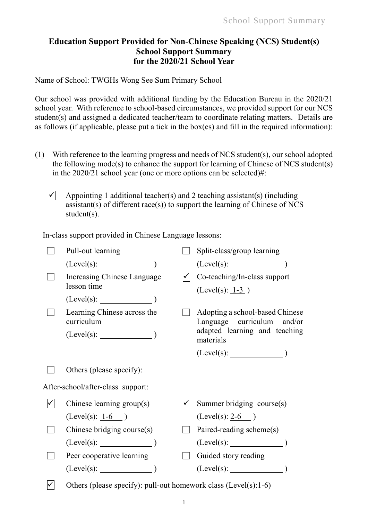## **Education Support Provided for Non-Chinese Speaking (NCS) Student(s) School Support Summary for the 2020/21 School Year**

Name of School: TWGHs Wong See Sum Primary School

Our school was provided with additional funding by the Education Bureau in the 2020/21 school year. With reference to school-based circumstances, we provided support for our NCS student(s) and assigned a dedicated teacher/team to coordinate relating matters. Details are as follows (if applicable, please put a tick in the box(es) and fill in the required information):

- (1) With reference to the learning progress and needs of NCS student(s), our school adopted the following mode(s) to enhance the support for learning of Chinese of NCS student(s) in the 2020/21 school year (one or more options can be selected)#:
	- $\sqrt{\checkmark}$  Appointing 1 additional teacher(s) and 2 teaching assistant(s) (including assistant(s) of different race(s)) to support the learning of Chinese of NCS student(s).

In-class support provided in Chinese Language lessons:

|                                   | Pull-out learning                                               |  | Split-class/group learning                                    |  |
|-----------------------------------|-----------------------------------------------------------------|--|---------------------------------------------------------------|--|
|                                   | (Level(s):                                                      |  | $(Level(s):$ (Level(s):                                       |  |
|                                   | Increasing Chinese Language<br>lesson time                      |  | Co-teaching/In-class support<br>(Level(s): $1-3$ )            |  |
|                                   | $(Level(s):$ $)$                                                |  |                                                               |  |
|                                   | Learning Chinese across the<br>curriculum                       |  | Adopting a school-based Chinese<br>Language curriculum and/or |  |
|                                   | $(Level(s):$ $)$                                                |  | adapted learning and teaching<br>materials                    |  |
|                                   |                                                                 |  |                                                               |  |
|                                   | Others (please specify):                                        |  |                                                               |  |
| After-school/after-class support: |                                                                 |  |                                                               |  |
|                                   | Chinese learning group(s)                                       |  | Summer bridging course(s)                                     |  |
|                                   | $(Level(s): 1-6)$                                               |  | $(Level(s): 2-6)$                                             |  |
|                                   | Chinese bridging course(s)                                      |  | Paired-reading scheme(s)                                      |  |
|                                   | (Level(s):                                                      |  | (Level(s):                                                    |  |
|                                   | Peer cooperative learning                                       |  | Guided story reading                                          |  |
|                                   | (Level(s):                                                      |  | (Level(s):                                                    |  |
|                                   | Others (please specify): pull-out homework class (Level(s):1-6) |  |                                                               |  |